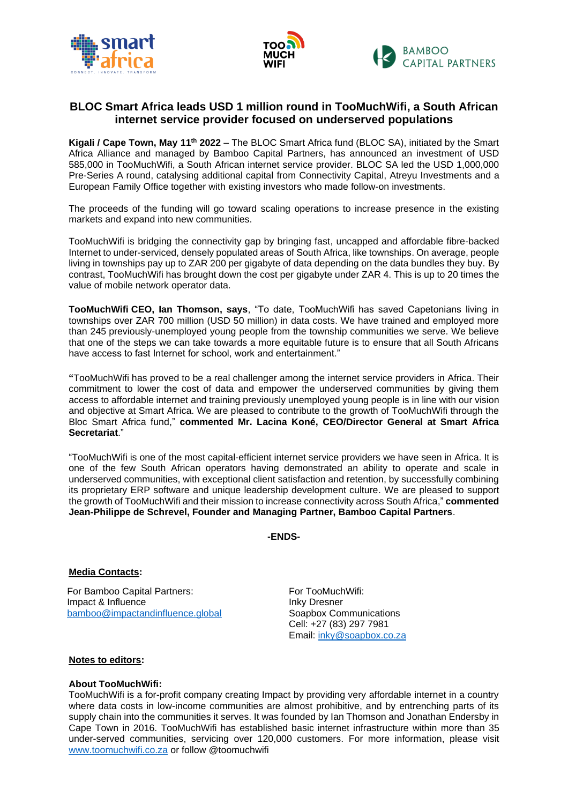



# **BLOC Smart Africa leads USD 1 million round in TooMuchWifi, a South African internet service provider focused on underserved populations**

**Kigali / Cape Town, May 11th 2022** – The BLOC Smart Africa fund (BLOC SA), initiated by the Smart Africa Alliance and managed by Bamboo Capital Partners, has announced an investment of USD 585,000 in TooMuchWifi, a South African internet service provider. BLOC SA led the USD 1,000,000 Pre-Series A round, catalysing additional capital from Connectivity Capital, Atreyu Investments and a European Family Office together with existing investors who made follow-on investments.

The proceeds of the funding will go toward scaling operations to increase presence in the existing markets and expand into new communities.

TooMuchWifi is bridging the connectivity gap by bringing fast, uncapped and affordable fibre-backed Internet to under-serviced, densely populated areas of South Africa, like townships. On average, people living in townships pay up to ZAR 200 per gigabyte of data depending on the data bundles they buy. By contrast, TooMuchWifi has brought down the cost per gigabyte under ZAR 4. This is up to 20 times the value of mobile network operator data.

**TooMuchWifi CEO, Ian Thomson, says**, "To date, TooMuchWifi has saved Capetonians living in townships over ZAR 700 million (USD 50 million) in data costs. We have trained and employed more than 245 previously-unemployed young people from the township communities we serve. We believe that one of the steps we can take towards a more equitable future is to ensure that all South Africans have access to fast Internet for school, work and entertainment."

**"**TooMuchWifi has proved to be a real challenger among the internet service providers in Africa. Their commitment to lower the cost of data and empower the underserved communities by giving them access to affordable internet and training previously unemployed young people is in line with our vision and objective at Smart Africa. We are pleased to contribute to the growth of TooMuchWifi through the Bloc Smart Africa fund," **commented Mr. Lacina Koné, CEO/Director General at Smart Africa Secretariat**."

"TooMuchWifi is one of the most capital-efficient internet service providers we have seen in Africa. It is one of the few South African operators having demonstrated an ability to operate and scale in underserved communities, with exceptional client satisfaction and retention, by successfully combining its proprietary ERP software and unique leadership development culture. We are pleased to support the growth of TooMuchWifi and their mission to increase connectivity across South Africa," **commented Jean-Philippe de Schrevel, Founder and Managing Partner, Bamboo Capital Partners**.

**-ENDS-**

# **Media Contacts:**

For Bamboo Capital Partners: Impact & Influence [bamboo@impactandinfluence.global](mailto:bamboo@impactandinfluence.global) For TooMuchWifi: Inky Dresner Soapbox Communications Cell: +27 (83) 297 7981 Email: [inky@soapbox.co.za](mailto:inky@soapbox.co.za)

# **Notes to editors:**

# **About TooMuchWifi:**

TooMuchWifi is a for-profit company creating Impact by providing very affordable internet in a country where data costs in low-income communities are almost prohibitive, and by entrenching parts of its supply chain into the communities it serves. It was founded by Ian Thomson and Jonathan Endersby in Cape Town in 2016. TooMuchWifi has established basic internet infrastructure within more than 35 under-served communities, servicing over 120,000 customers. For more information, please visit [www.toomuchwifi.co.za](http://www.toomuchwifi.co.za/) or follow @toomuchwifi